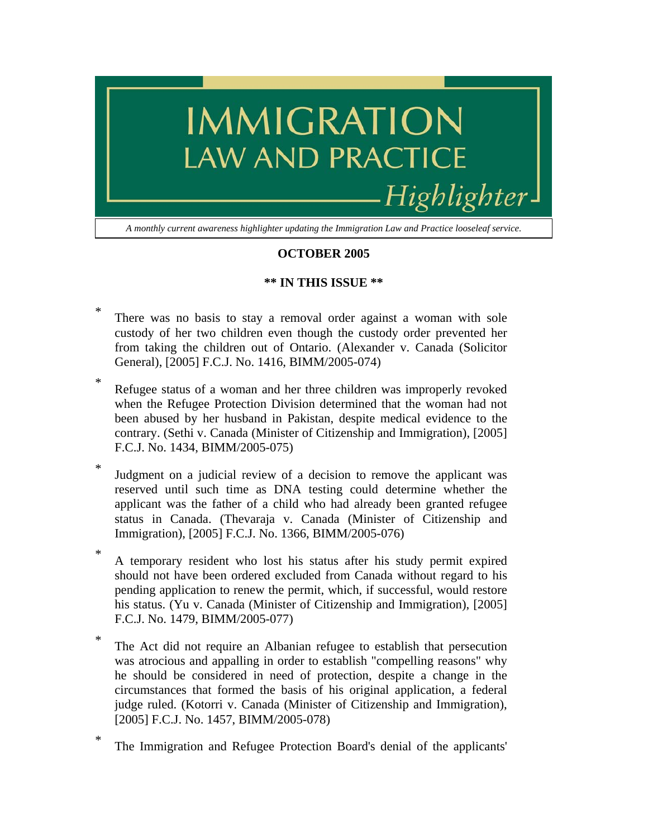

## **OCTOBER 2005**

## **\*\* IN THIS ISSUE \*\***

- \* There was no basis to stay a removal order against a woman with sole custody of her two children even though the custody order prevented her from taking the children out of Ontario. (Alexander v. Canada (Solicitor General), [2005] F.C.J. No. 1416, BIMM/2005-074)
- \* Refugee status of a woman and her three children was improperly revoked when the Refugee Protection Division determined that the woman had not been abused by her husband in Pakistan, despite medical evidence to the contrary. (Sethi v. Canada (Minister of Citizenship and Immigration), [2005] F.C.J. No. 1434, BIMM/2005-075)
- \* Judgment on a judicial review of a decision to remove the applicant was reserved until such time as DNA testing could determine whether the applicant was the father of a child who had already been granted refugee status in Canada. (Thevaraja v. Canada (Minister of Citizenship and Immigration), [2005] F.C.J. No. 1366, BIMM/2005-076)
- \* A temporary resident who lost his status after his study permit expired should not have been ordered excluded from Canada without regard to his pending application to renew the permit, which, if successful, would restore his status. (Yu v. Canada (Minister of Citizenship and Immigration), [2005] F.C.J. No. 1479, BIMM/2005-077)
- \* The Act did not require an Albanian refugee to establish that persecution was atrocious and appalling in order to establish "compelling reasons" why he should be considered in need of protection, despite a change in the circumstances that formed the basis of his original application, a federal judge ruled. (Kotorri v. Canada (Minister of Citizenship and Immigration), [2005] F.C.J. No. 1457, BIMM/2005-078)
- \* The Immigration and Refugee Protection Board's denial of the applicants'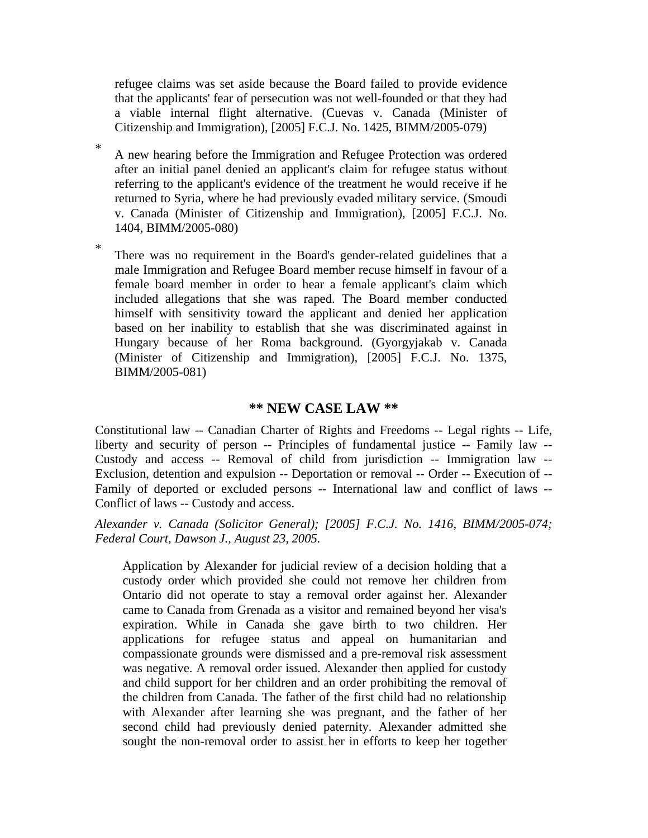refugee claims was set aside because the Board failed to provide evidence that the applicants' fear of persecution was not well-founded or that they had a viable internal flight alternative. (Cuevas v. Canada (Minister of Citizenship and Immigration), [2005] F.C.J. No. 1425, BIMM/2005-079)

- \* A new hearing before the Immigration and Refugee Protection was ordered after an initial panel denied an applicant's claim for refugee status without referring to the applicant's evidence of the treatment he would receive if he returned to Syria, where he had previously evaded military service. (Smoudi v. Canada (Minister of Citizenship and Immigration), [2005] F.C.J. No. 1404, BIMM/2005-080)
- \* There was no requirement in the Board's gender-related guidelines that a male Immigration and Refugee Board member recuse himself in favour of a female board member in order to hear a female applicant's claim which included allegations that she was raped. The Board member conducted himself with sensitivity toward the applicant and denied her application based on her inability to establish that she was discriminated against in Hungary because of her Roma background. (Gyorgyjakab v. Canada (Minister of Citizenship and Immigration), [2005] F.C.J. No. 1375, BIMM/2005-081)

## **\*\* NEW CASE LAW \*\***

Constitutional law -- Canadian Charter of Rights and Freedoms -- Legal rights -- Life, liberty and security of person -- Principles of fundamental justice -- Family law -- Custody and access -- Removal of child from jurisdiction -- Immigration law -- Exclusion, detention and expulsion -- Deportation or removal -- Order -- Execution of -- Family of deported or excluded persons -- International law and conflict of laws -- Conflict of laws -- Custody and access.

*Alexander v. Canada (Solicitor General); [2005] F.C.J. No. 1416, BIMM/2005-074; Federal Court, Dawson J., August 23, 2005.*

Application by Alexander for judicial review of a decision holding that a custody order which provided she could not remove her children from Ontario did not operate to stay a removal order against her. Alexander came to Canada from Grenada as a visitor and remained beyond her visa's expiration. While in Canada she gave birth to two children. Her applications for refugee status and appeal on humanitarian and compassionate grounds were dismissed and a pre-removal risk assessment was negative. A removal order issued. Alexander then applied for custody and child support for her children and an order prohibiting the removal of the children from Canada. The father of the first child had no relationship with Alexander after learning she was pregnant, and the father of her second child had previously denied paternity. Alexander admitted she sought the non-removal order to assist her in efforts to keep her together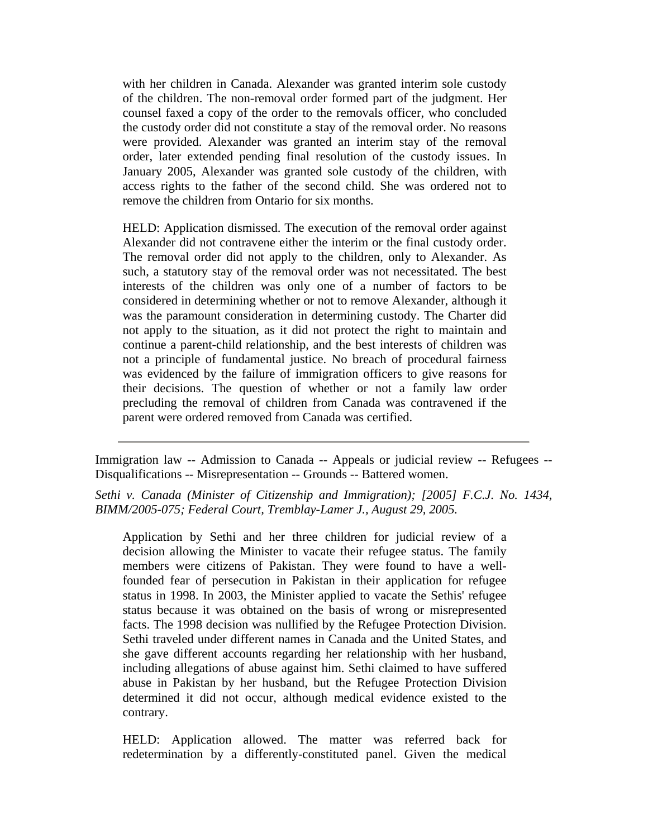with her children in Canada. Alexander was granted interim sole custody of the children. The non-removal order formed part of the judgment. Her counsel faxed a copy of the order to the removals officer, who concluded the custody order did not constitute a stay of the removal order. No reasons were provided. Alexander was granted an interim stay of the removal order, later extended pending final resolution of the custody issues. In January 2005, Alexander was granted sole custody of the children, with access rights to the father of the second child. She was ordered not to remove the children from Ontario for six months.

HELD: Application dismissed. The execution of the removal order against Alexander did not contravene either the interim or the final custody order. The removal order did not apply to the children, only to Alexander. As such, a statutory stay of the removal order was not necessitated. The best interests of the children was only one of a number of factors to be considered in determining whether or not to remove Alexander, although it was the paramount consideration in determining custody. The Charter did not apply to the situation, as it did not protect the right to maintain and continue a parent-child relationship, and the best interests of children was not a principle of fundamental justice. No breach of procedural fairness was evidenced by the failure of immigration officers to give reasons for their decisions. The question of whether or not a family law order precluding the removal of children from Canada was contravened if the parent were ordered removed from Canada was certified.

Immigration law -- Admission to Canada -- Appeals or judicial review -- Refugees -- Disqualifications -- Misrepresentation -- Grounds -- Battered women.

*Sethi v. Canada (Minister of Citizenship and Immigration); [2005] F.C.J. No. 1434, BIMM/2005-075; Federal Court, Tremblay-Lamer J., August 29, 2005.*

Application by Sethi and her three children for judicial review of a decision allowing the Minister to vacate their refugee status. The family members were citizens of Pakistan. They were found to have a wellfounded fear of persecution in Pakistan in their application for refugee status in 1998. In 2003, the Minister applied to vacate the Sethis' refugee status because it was obtained on the basis of wrong or misrepresented facts. The 1998 decision was nullified by the Refugee Protection Division. Sethi traveled under different names in Canada and the United States, and she gave different accounts regarding her relationship with her husband, including allegations of abuse against him. Sethi claimed to have suffered abuse in Pakistan by her husband, but the Refugee Protection Division determined it did not occur, although medical evidence existed to the contrary.

HELD: Application allowed. The matter was referred back for redetermination by a differently-constituted panel. Given the medical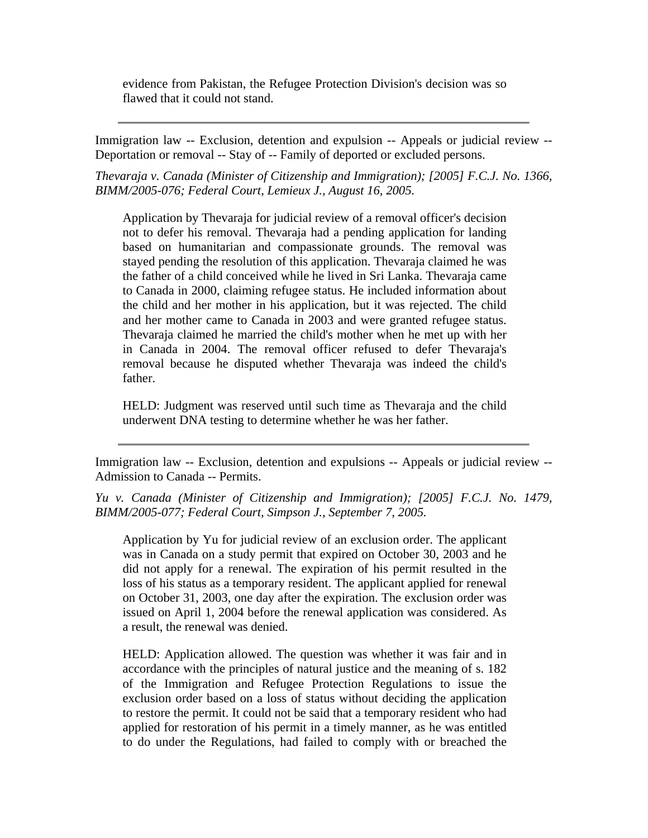evidence from Pakistan, the Refugee Protection Division's decision was so flawed that it could not stand.

Immigration law -- Exclusion, detention and expulsion -- Appeals or judicial review -- Deportation or removal -- Stay of -- Family of deported or excluded persons.

*Thevaraja v. Canada (Minister of Citizenship and Immigration); [2005] F.C.J. No. 1366, BIMM/2005-076; Federal Court, Lemieux J., August 16, 2005.*

Application by Thevaraja for judicial review of a removal officer's decision not to defer his removal. Thevaraja had a pending application for landing based on humanitarian and compassionate grounds. The removal was stayed pending the resolution of this application. Thevaraja claimed he was the father of a child conceived while he lived in Sri Lanka. Thevaraja came to Canada in 2000, claiming refugee status. He included information about the child and her mother in his application, but it was rejected. The child and her mother came to Canada in 2003 and were granted refugee status. Thevaraja claimed he married the child's mother when he met up with her in Canada in 2004. The removal officer refused to defer Thevaraja's removal because he disputed whether Thevaraja was indeed the child's father.

HELD: Judgment was reserved until such time as Thevaraja and the child underwent DNA testing to determine whether he was her father.

Immigration law -- Exclusion, detention and expulsions -- Appeals or judicial review -- Admission to Canada -- Permits.

*Yu v. Canada (Minister of Citizenship and Immigration); [2005] F.C.J. No. 1479, BIMM/2005-077; Federal Court, Simpson J., September 7, 2005.*

Application by Yu for judicial review of an exclusion order. The applicant was in Canada on a study permit that expired on October 30, 2003 and he did not apply for a renewal. The expiration of his permit resulted in the loss of his status as a temporary resident. The applicant applied for renewal on October 31, 2003, one day after the expiration. The exclusion order was issued on April 1, 2004 before the renewal application was considered. As a result, the renewal was denied.

HELD: Application allowed. The question was whether it was fair and in accordance with the principles of natural justice and the meaning of s. 182 of the Immigration and Refugee Protection Regulations to issue the exclusion order based on a loss of status without deciding the application to restore the permit. It could not be said that a temporary resident who had applied for restoration of his permit in a timely manner, as he was entitled to do under the Regulations, had failed to comply with or breached the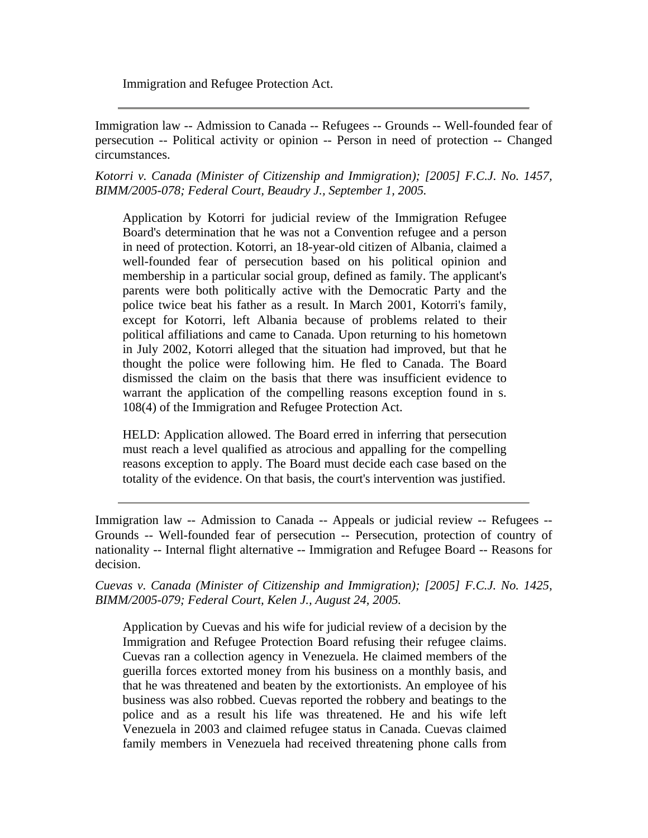Immigration and Refugee Protection Act.

Immigration law -- Admission to Canada -- Refugees -- Grounds -- Well-founded fear of persecution -- Political activity or opinion -- Person in need of protection -- Changed circumstances.

*Kotorri v. Canada (Minister of Citizenship and Immigration); [2005] F.C.J. No. 1457, BIMM/2005-078; Federal Court, Beaudry J., September 1, 2005.*

Application by Kotorri for judicial review of the Immigration Refugee Board's determination that he was not a Convention refugee and a person in need of protection. Kotorri, an 18-year-old citizen of Albania, claimed a well-founded fear of persecution based on his political opinion and membership in a particular social group, defined as family. The applicant's parents were both politically active with the Democratic Party and the police twice beat his father as a result. In March 2001, Kotorri's family, except for Kotorri, left Albania because of problems related to their political affiliations and came to Canada. Upon returning to his hometown in July 2002, Kotorri alleged that the situation had improved, but that he thought the police were following him. He fled to Canada. The Board dismissed the claim on the basis that there was insufficient evidence to warrant the application of the compelling reasons exception found in s. 108(4) of the Immigration and Refugee Protection Act.

HELD: Application allowed. The Board erred in inferring that persecution must reach a level qualified as atrocious and appalling for the compelling reasons exception to apply. The Board must decide each case based on the totality of the evidence. On that basis, the court's intervention was justified.

Immigration law -- Admission to Canada -- Appeals or judicial review -- Refugees -- Grounds -- Well-founded fear of persecution -- Persecution, protection of country of nationality -- Internal flight alternative -- Immigration and Refugee Board -- Reasons for decision.

*Cuevas v. Canada (Minister of Citizenship and Immigration); [2005] F.C.J. No. 1425, BIMM/2005-079; Federal Court, Kelen J., August 24, 2005.*

Application by Cuevas and his wife for judicial review of a decision by the Immigration and Refugee Protection Board refusing their refugee claims. Cuevas ran a collection agency in Venezuela. He claimed members of the guerilla forces extorted money from his business on a monthly basis, and that he was threatened and beaten by the extortionists. An employee of his business was also robbed. Cuevas reported the robbery and beatings to the police and as a result his life was threatened. He and his wife left Venezuela in 2003 and claimed refugee status in Canada. Cuevas claimed family members in Venezuela had received threatening phone calls from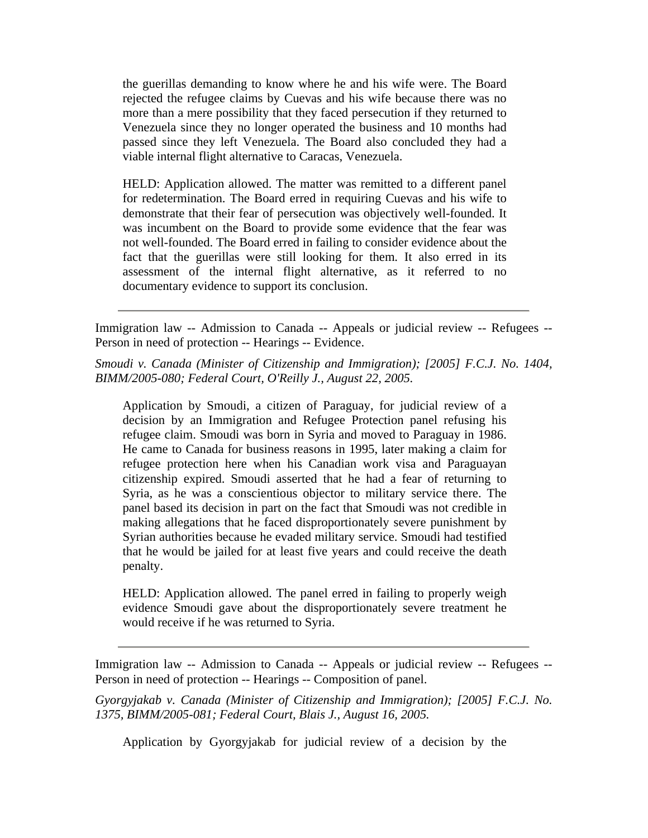the guerillas demanding to know where he and his wife were. The Board rejected the refugee claims by Cuevas and his wife because there was no more than a mere possibility that they faced persecution if they returned to Venezuela since they no longer operated the business and 10 months had passed since they left Venezuela. The Board also concluded they had a viable internal flight alternative to Caracas, Venezuela.

HELD: Application allowed. The matter was remitted to a different panel for redetermination. The Board erred in requiring Cuevas and his wife to demonstrate that their fear of persecution was objectively well-founded. It was incumbent on the Board to provide some evidence that the fear was not well-founded. The Board erred in failing to consider evidence about the fact that the guerillas were still looking for them. It also erred in its assessment of the internal flight alternative, as it referred to no documentary evidence to support its conclusion.

Immigration law -- Admission to Canada -- Appeals or judicial review -- Refugees -- Person in need of protection -- Hearings -- Evidence.

*Smoudi v. Canada (Minister of Citizenship and Immigration); [2005] F.C.J. No. 1404, BIMM/2005-080; Federal Court, O'Reilly J., August 22, 2005.*

Application by Smoudi, a citizen of Paraguay, for judicial review of a decision by an Immigration and Refugee Protection panel refusing his refugee claim. Smoudi was born in Syria and moved to Paraguay in 1986. He came to Canada for business reasons in 1995, later making a claim for refugee protection here when his Canadian work visa and Paraguayan citizenship expired. Smoudi asserted that he had a fear of returning to Syria, as he was a conscientious objector to military service there. The panel based its decision in part on the fact that Smoudi was not credible in making allegations that he faced disproportionately severe punishment by Syrian authorities because he evaded military service. Smoudi had testified that he would be jailed for at least five years and could receive the death penalty.

HELD: Application allowed. The panel erred in failing to properly weigh evidence Smoudi gave about the disproportionately severe treatment he would receive if he was returned to Syria.

Immigration law -- Admission to Canada -- Appeals or judicial review -- Refugees -- Person in need of protection -- Hearings -- Composition of panel.

*Gyorgyjakab v. Canada (Minister of Citizenship and Immigration); [2005] F.C.J. No. 1375, BIMM/2005-081; Federal Court, Blais J., August 16, 2005.*

Application by Gyorgyjakab for judicial review of a decision by the